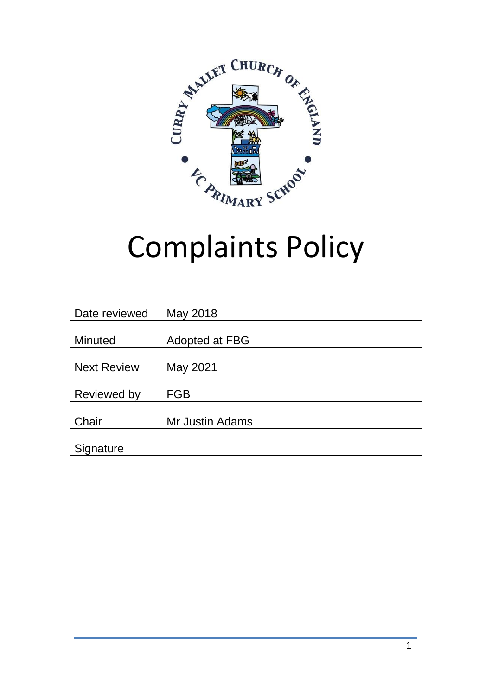

# Complaints Policy

| Date reviewed      | May 2018        |
|--------------------|-----------------|
|                    |                 |
| <b>Minuted</b>     | Adopted at FBG  |
|                    |                 |
| <b>Next Review</b> | May 2021        |
|                    |                 |
| Reviewed by        | <b>FGB</b>      |
|                    |                 |
| Chair              | Mr Justin Adams |
|                    |                 |
| Signature          |                 |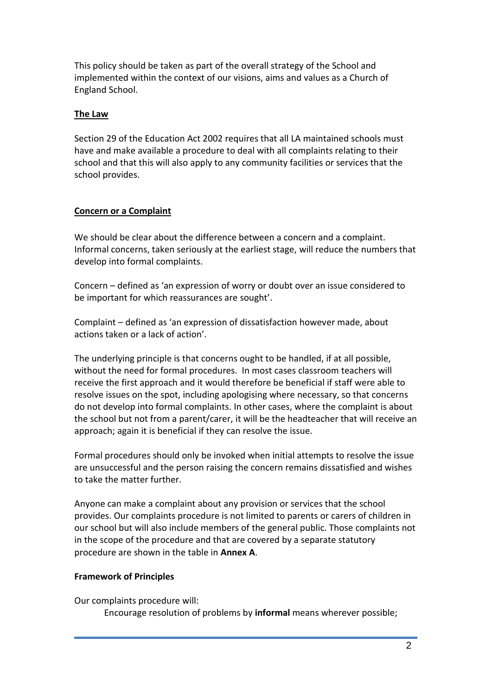This policy should be taken as part of the overall strategy of the School and implemented within the context of our visions, aims and values as a Church of England School.

## **The Law**

Section 29 of the Education Act 2002 requires that all LA maintained schools must have and make available a procedure to deal with all complaints relating to their school and that this will also apply to any community facilities or services that the school provides.

## **Concern or a Complaint**

We should be clear about the difference between a concern and a complaint. Informal concerns, taken seriously at the earliest stage, will reduce the numbers that develop into formal complaints.

Concern – defined as 'an expression of worry or doubt over an issue considered to be important for which reassurances are sought'.

Complaint – defined as 'an expression of dissatisfaction however made, about actions taken or a lack of action'.

The underlying principle is that concerns ought to be handled, if at all possible, without the need for formal procedures. In most cases classroom teachers will receive the first approach and it would therefore be beneficial if staff were able to resolve issues on the spot, including apologising where necessary, so that concerns do not develop into formal complaints. In other cases, where the complaint is about the school but not from a parent/carer, it will be the headteacher that will receive an approach; again it is beneficial if they can resolve the issue.

Formal procedures should only be invoked when initial attempts to resolve the issue are unsuccessful and the person raising the concern remains dissatisfied and wishes to take the matter further.

Anyone can make a complaint about any provision or services that the school provides. Our complaints procedure is not limited to parents or carers of children in our school but will also include members of the general public. Those complaints not in the scope of the procedure and that are covered by a separate statutory procedure are shown in the table in **Annex A**.

## **Framework of Principles**

Our complaints procedure will:

Encourage resolution of problems by **informal** means wherever possible;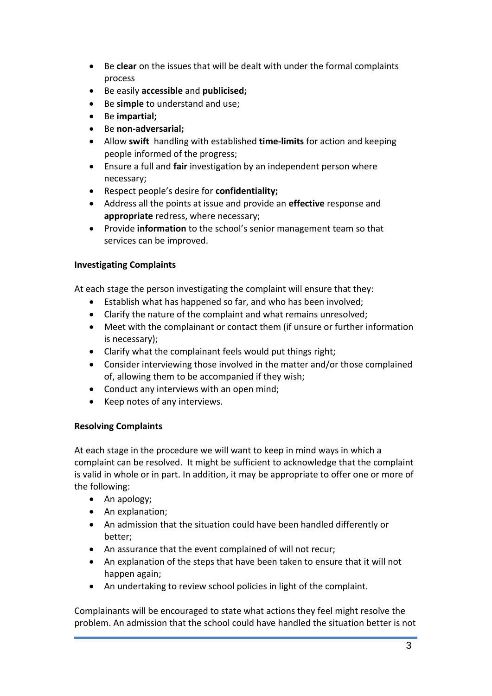- Be **clear** on the issues that will be dealt with under the formal complaints process
- Be easily **accessible** and **publicised;**
- Be **simple** to understand and use;
- Be **impartial;**
- Be **non-adversarial;**
- Allow **swift** handling with established **time-limits** for action and keeping people informed of the progress;
- Ensure a full and **fair** investigation by an independent person where necessary;
- Respect people's desire for **confidentiality;**
- Address all the points at issue and provide an **effective** response and **appropriate** redress, where necessary;
- Provide **information** to the school's senior management team so that services can be improved.

## **Investigating Complaints**

At each stage the person investigating the complaint will ensure that they:

- Establish what has happened so far, and who has been involved;
- Clarify the nature of the complaint and what remains unresolved;
- Meet with the complainant or contact them (if unsure or further information is necessary);
- Clarify what the complainant feels would put things right;
- Consider interviewing those involved in the matter and/or those complained of, allowing them to be accompanied if they wish;
- Conduct any interviews with an open mind;
- Keep notes of any interviews.

## **Resolving Complaints**

At each stage in the procedure we will want to keep in mind ways in which a complaint can be resolved. It might be sufficient to acknowledge that the complaint is valid in whole or in part. In addition, it may be appropriate to offer one or more of the following:

- An apology;
- An explanation;
- An admission that the situation could have been handled differently or better;
- An assurance that the event complained of will not recur;
- An explanation of the steps that have been taken to ensure that it will not happen again;
- An undertaking to review school policies in light of the complaint.

Complainants will be encouraged to state what actions they feel might resolve the problem. An admission that the school could have handled the situation better is not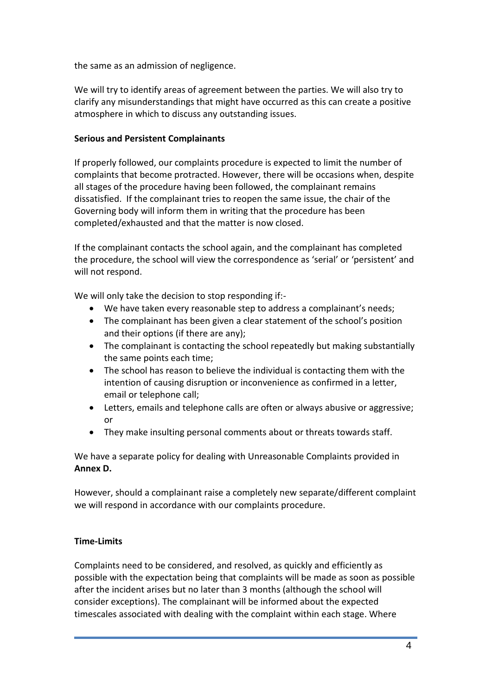the same as an admission of negligence.

We will try to identify areas of agreement between the parties. We will also try to clarify any misunderstandings that might have occurred as this can create a positive atmosphere in which to discuss any outstanding issues.

## **Serious and Persistent Complainants**

If properly followed, our complaints procedure is expected to limit the number of complaints that become protracted. However, there will be occasions when, despite all stages of the procedure having been followed, the complainant remains dissatisfied. If the complainant tries to reopen the same issue, the chair of the Governing body will inform them in writing that the procedure has been completed/exhausted and that the matter is now closed.

If the complainant contacts the school again, and the complainant has completed the procedure, the school will view the correspondence as 'serial' or 'persistent' and will not respond.

We will only take the decision to stop responding if:-

- We have taken every reasonable step to address a complainant's needs;
- The complainant has been given a clear statement of the school's position and their options (if there are any);
- The complainant is contacting the school repeatedly but making substantially the same points each time;
- The school has reason to believe the individual is contacting them with the intention of causing disruption or inconvenience as confirmed in a letter, email or telephone call;
- Letters, emails and telephone calls are often or always abusive or aggressive; or
- They make insulting personal comments about or threats towards staff.

We have a separate policy for dealing with Unreasonable Complaints provided in **Annex D.**

However, should a complainant raise a completely new separate/different complaint we will respond in accordance with our complaints procedure.

## **Time-Limits**

Complaints need to be considered, and resolved, as quickly and efficiently as possible with the expectation being that complaints will be made as soon as possible after the incident arises but no later than 3 months (although the school will consider exceptions). The complainant will be informed about the expected timescales associated with dealing with the complaint within each stage. Where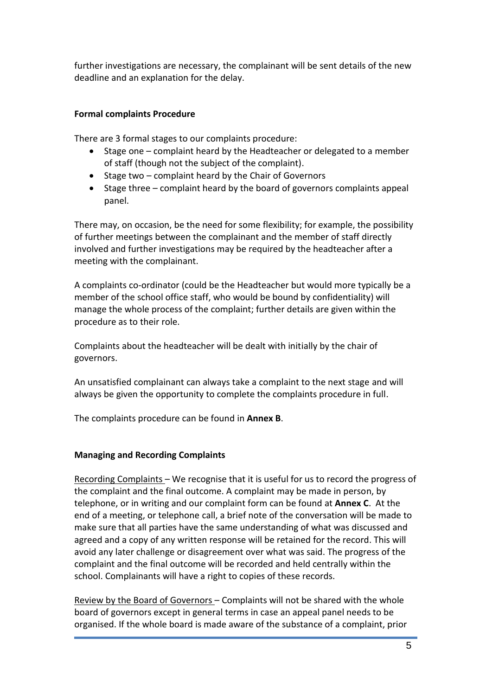further investigations are necessary, the complainant will be sent details of the new deadline and an explanation for the delay.

## **Formal complaints Procedure**

There are 3 formal stages to our complaints procedure:

- Stage one complaint heard by the Headteacher or delegated to a member of staff (though not the subject of the complaint).
- $\bullet$  Stage two complaint heard by the Chair of Governors
- Stage three complaint heard by the board of governors complaints appeal panel.

There may, on occasion, be the need for some flexibility; for example, the possibility of further meetings between the complainant and the member of staff directly involved and further investigations may be required by the headteacher after a meeting with the complainant.

A complaints co-ordinator (could be the Headteacher but would more typically be a member of the school office staff, who would be bound by confidentiality) will manage the whole process of the complaint; further details are given within the procedure as to their role.

Complaints about the headteacher will be dealt with initially by the chair of governors.

An unsatisfied complainant can always take a complaint to the next stage and will always be given the opportunity to complete the complaints procedure in full.

The complaints procedure can be found in **Annex B**.

## **Managing and Recording Complaints**

Recording Complaints – We recognise that it is useful for us to record the progress of the complaint and the final outcome. A complaint may be made in person, by telephone, or in writing and our complaint form can be found at **Annex C**. At the end of a meeting, or telephone call, a brief note of the conversation will be made to make sure that all parties have the same understanding of what was discussed and agreed and a copy of any written response will be retained for the record. This will avoid any later challenge or disagreement over what was said. The progress of the complaint and the final outcome will be recorded and held centrally within the school. Complainants will have a right to copies of these records.

Review by the Board of Governors – Complaints will not be shared with the whole board of governors except in general terms in case an appeal panel needs to be organised. If the whole board is made aware of the substance of a complaint, prior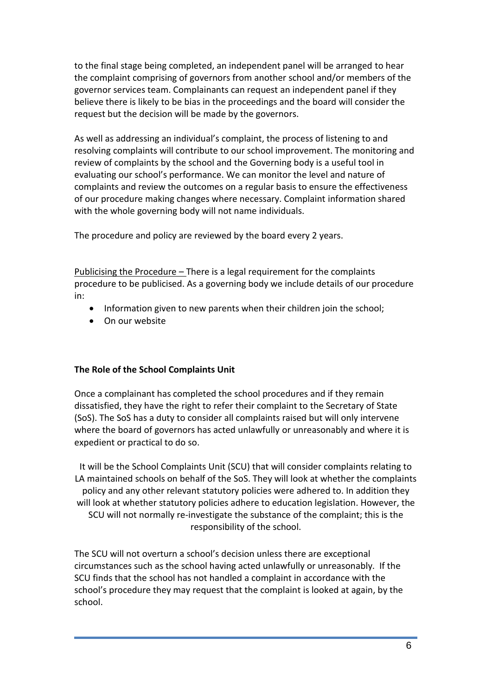to the final stage being completed, an independent panel will be arranged to hear the complaint comprising of governors from another school and/or members of the governor services team. Complainants can request an independent panel if they believe there is likely to be bias in the proceedings and the board will consider the request but the decision will be made by the governors.

As well as addressing an individual's complaint, the process of listening to and resolving complaints will contribute to our school improvement. The monitoring and review of complaints by the school and the Governing body is a useful tool in evaluating our school's performance. We can monitor the level and nature of complaints and review the outcomes on a regular basis to ensure the effectiveness of our procedure making changes where necessary. Complaint information shared with the whole governing body will not name individuals.

The procedure and policy are reviewed by the board every 2 years.

Publicising the Procedure – There is a legal requirement for the complaints procedure to be publicised. As a governing body we include details of our procedure in:

- Information given to new parents when their children join the school;
- On our website

## **The Role of the School Complaints Unit**

Once a complainant has completed the school procedures and if they remain dissatisfied, they have the right to refer their complaint to the Secretary of State (SoS). The SoS has a duty to consider all complaints raised but will only intervene where the board of governors has acted unlawfully or unreasonably and where it is expedient or practical to do so.

It will be the School Complaints Unit (SCU) that will consider complaints relating to LA maintained schools on behalf of the SoS. They will look at whether the complaints policy and any other relevant statutory policies were adhered to. In addition they will look at whether statutory policies adhere to education legislation. However, the SCU will not normally re-investigate the substance of the complaint; this is the responsibility of the school.

The SCU will not overturn a school's decision unless there are exceptional circumstances such as the school having acted unlawfully or unreasonably. If the SCU finds that the school has not handled a complaint in accordance with the school's procedure they may request that the complaint is looked at again, by the school.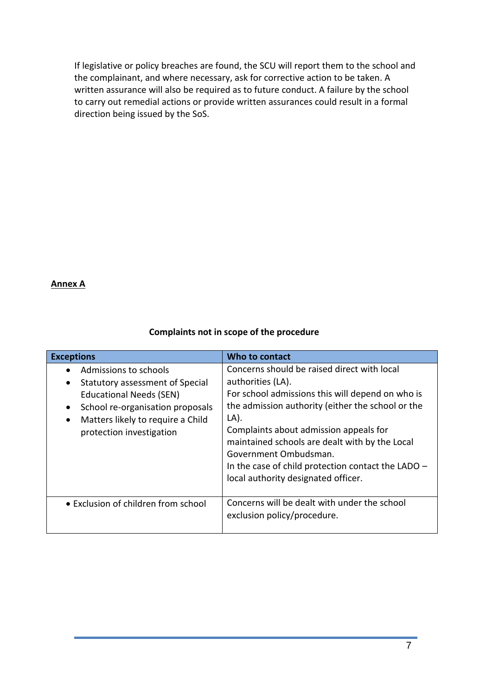If legislative or policy breaches are found, the SCU will report them to the school and the complainant, and where necessary, ask for corrective action to be taken. A written assurance will also be required as to future conduct. A failure by the school to carry out remedial actions or provide written assurances could result in a formal direction being issued by the SoS.

## **Annex A**

## **Complaints not in scope of the procedure**

| <b>Exceptions</b>                                                                                                                                                                                                         | Who to contact                                                                                                                                                                                                                                                                                                                                                                                      |  |  |
|---------------------------------------------------------------------------------------------------------------------------------------------------------------------------------------------------------------------------|-----------------------------------------------------------------------------------------------------------------------------------------------------------------------------------------------------------------------------------------------------------------------------------------------------------------------------------------------------------------------------------------------------|--|--|
| Admissions to schools<br>Statutory assessment of Special<br>$\bullet$<br><b>Educational Needs (SEN)</b><br>School re-organisation proposals<br>$\bullet$<br>Matters likely to require a Child<br>protection investigation | Concerns should be raised direct with local<br>authorities (LA).<br>For school admissions this will depend on who is<br>the admission authority (either the school or the<br>LA).<br>Complaints about admission appeals for<br>maintained schools are dealt with by the Local<br>Government Ombudsman.<br>In the case of child protection contact the LADO -<br>local authority designated officer. |  |  |
| • Exclusion of children from school                                                                                                                                                                                       | Concerns will be dealt with under the school<br>exclusion policy/procedure.                                                                                                                                                                                                                                                                                                                         |  |  |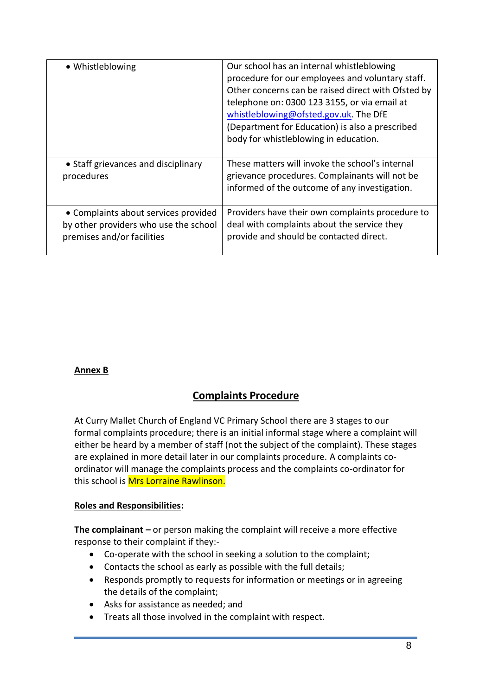| · Whistleblowing                                                                                            | Our school has an internal whistleblowing<br>procedure for our employees and voluntary staff.<br>Other concerns can be raised direct with Ofsted by<br>telephone on: 0300 123 3155, or via email at<br>whistleblowing@ofsted.gov.uk. The DfE<br>(Department for Education) is also a prescribed<br>body for whistleblowing in education. |  |  |
|-------------------------------------------------------------------------------------------------------------|------------------------------------------------------------------------------------------------------------------------------------------------------------------------------------------------------------------------------------------------------------------------------------------------------------------------------------------|--|--|
| • Staff grievances and disciplinary<br>procedures                                                           | These matters will invoke the school's internal<br>grievance procedures. Complainants will not be<br>informed of the outcome of any investigation.                                                                                                                                                                                       |  |  |
| • Complaints about services provided<br>by other providers who use the school<br>premises and/or facilities | Providers have their own complaints procedure to<br>deal with complaints about the service they<br>provide and should be contacted direct.                                                                                                                                                                                               |  |  |

# **Annex B**

# **Complaints Procedure**

At Curry Mallet Church of England VC Primary School there are 3 stages to our formal complaints procedure; there is an initial informal stage where a complaint will either be heard by a member of staff (not the subject of the complaint). These stages are explained in more detail later in our complaints procedure. A complaints coordinator will manage the complaints process and the complaints co-ordinator for this school is Mrs Lorraine Rawlinson.

# **Roles and Responsibilities:**

**The complainant –** or person making the complaint will receive a more effective response to their complaint if they:-

- Co-operate with the school in seeking a solution to the complaint;
- Contacts the school as early as possible with the full details;
- Responds promptly to requests for information or meetings or in agreeing the details of the complaint;
- Asks for assistance as needed; and
- Treats all those involved in the complaint with respect.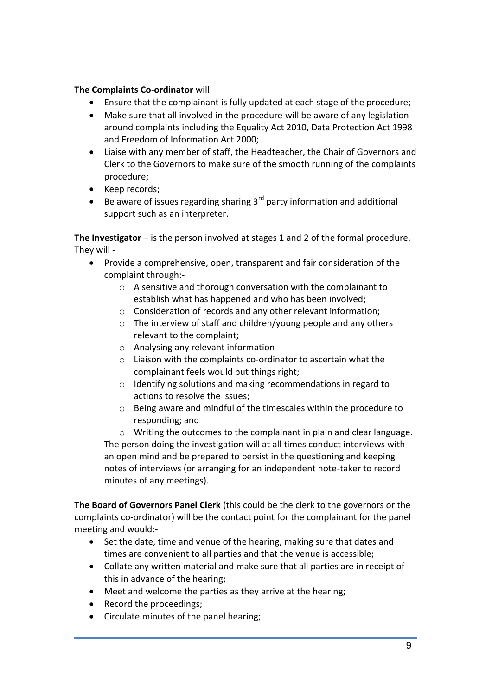## **The Complaints Co-ordinator** will –

- Ensure that the complainant is fully updated at each stage of the procedure;
- Make sure that all involved in the procedure will be aware of any legislation around complaints including the Equality Act 2010, Data Protection Act 1998 and Freedom of Information Act 2000;
- Liaise with any member of staff, the Headteacher, the Chair of Governors and Clerk to the Governors to make sure of the smooth running of the complaints procedure;
- Keep records;
- Be aware of issues regarding sharing  $3^{rd}$  party information and additional support such as an interpreter.

**The Investigator –** is the person involved at stages 1 and 2 of the formal procedure. They will -

- Provide a comprehensive, open, transparent and fair consideration of the complaint through:
	- o A sensitive and thorough conversation with the complainant to establish what has happened and who has been involved;
	- o Consideration of records and any other relevant information;
	- o The interview of staff and children/young people and any others relevant to the complaint;
	- o Analysing any relevant information
	- o Liaison with the complaints co-ordinator to ascertain what the complainant feels would put things right;
	- o Identifying solutions and making recommendations in regard to actions to resolve the issues;
	- o Being aware and mindful of the timescales within the procedure to responding; and

o Writing the outcomes to the complainant in plain and clear language. The person doing the investigation will at all times conduct interviews with an open mind and be prepared to persist in the questioning and keeping notes of interviews (or arranging for an independent note-taker to record minutes of any meetings).

**The Board of Governors Panel Clerk** (this could be the clerk to the governors or the complaints co-ordinator) will be the contact point for the complainant for the panel meeting and would:-

- Set the date, time and venue of the hearing, making sure that dates and times are convenient to all parties and that the venue is accessible;
- Collate any written material and make sure that all parties are in receipt of this in advance of the hearing;
- Meet and welcome the parties as they arrive at the hearing;
- Record the proceedings;
- Circulate minutes of the panel hearing;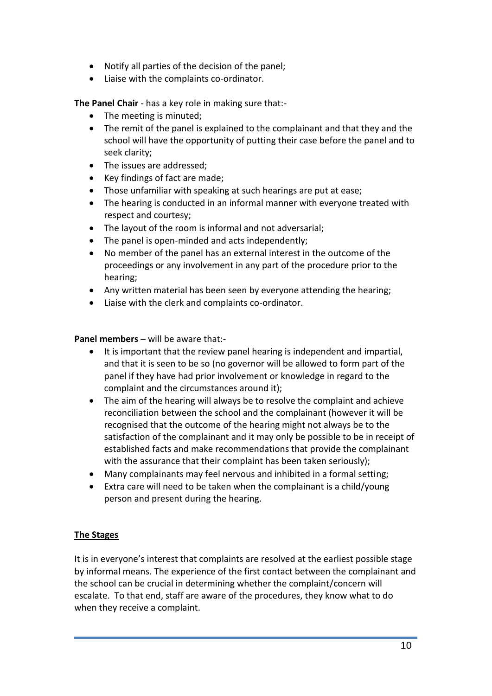- Notify all parties of the decision of the panel;
- Liaise with the complaints co-ordinator.

**The Panel Chair** - has a key role in making sure that:-

- The meeting is minuted;
- The remit of the panel is explained to the complainant and that they and the school will have the opportunity of putting their case before the panel and to seek clarity;
- The issues are addressed;
- Key findings of fact are made;
- Those unfamiliar with speaking at such hearings are put at ease;
- The hearing is conducted in an informal manner with everyone treated with respect and courtesy;
- The layout of the room is informal and not adversarial;
- The panel is open-minded and acts independently;
- No member of the panel has an external interest in the outcome of the proceedings or any involvement in any part of the procedure prior to the hearing;
- Any written material has been seen by everyone attending the hearing;
- Liaise with the clerk and complaints co-ordinator.

**Panel members –** will be aware that:-

- It is important that the review panel hearing is independent and impartial, and that it is seen to be so (no governor will be allowed to form part of the panel if they have had prior involvement or knowledge in regard to the complaint and the circumstances around it);
- The aim of the hearing will always be to resolve the complaint and achieve reconciliation between the school and the complainant (however it will be recognised that the outcome of the hearing might not always be to the satisfaction of the complainant and it may only be possible to be in receipt of established facts and make recommendations that provide the complainant with the assurance that their complaint has been taken seriously);
- Many complainants may feel nervous and inhibited in a formal setting;
- Extra care will need to be taken when the complainant is a child/young person and present during the hearing.

## **The Stages**

It is in everyone's interest that complaints are resolved at the earliest possible stage by informal means. The experience of the first contact between the complainant and the school can be crucial in determining whether the complaint/concern will escalate. To that end, staff are aware of the procedures, they know what to do when they receive a complaint.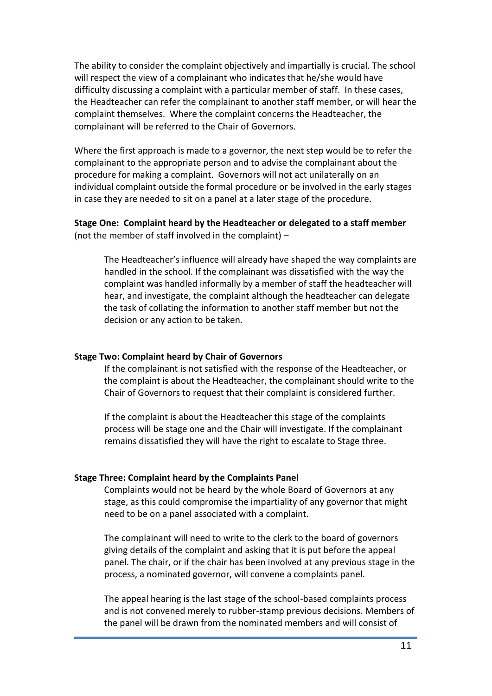The ability to consider the complaint objectively and impartially is crucial. The school will respect the view of a complainant who indicates that he/she would have difficulty discussing a complaint with a particular member of staff. In these cases, the Headteacher can refer the complainant to another staff member, or will hear the complaint themselves. Where the complaint concerns the Headteacher, the complainant will be referred to the Chair of Governors.

Where the first approach is made to a governor, the next step would be to refer the complainant to the appropriate person and to advise the complainant about the procedure for making a complaint. Governors will not act unilaterally on an individual complaint outside the formal procedure or be involved in the early stages in case they are needed to sit on a panel at a later stage of the procedure.

## **Stage One: Complaint heard by the Headteacher or delegated to a staff member** (not the member of staff involved in the complaint) –

The Headteacher's influence will already have shaped the way complaints are handled in the school. If the complainant was dissatisfied with the way the complaint was handled informally by a member of staff the headteacher will hear, and investigate, the complaint although the headteacher can delegate the task of collating the information to another staff member but not the decision or any action to be taken.

#### **Stage Two: Complaint heard by Chair of Governors**

If the complainant is not satisfied with the response of the Headteacher, or the complaint is about the Headteacher, the complainant should write to the Chair of Governors to request that their complaint is considered further.

If the complaint is about the Headteacher this stage of the complaints process will be stage one and the Chair will investigate. If the complainant remains dissatisfied they will have the right to escalate to Stage three.

#### **Stage Three: Complaint heard by the Complaints Panel**

Complaints would not be heard by the whole Board of Governors at any stage, as this could compromise the impartiality of any governor that might need to be on a panel associated with a complaint.

The complainant will need to write to the clerk to the board of governors giving details of the complaint and asking that it is put before the appeal panel. The chair, or if the chair has been involved at any previous stage in the process, a nominated governor, will convene a complaints panel.

The appeal hearing is the last stage of the school-based complaints process and is not convened merely to rubber-stamp previous decisions. Members of the panel will be drawn from the nominated members and will consist of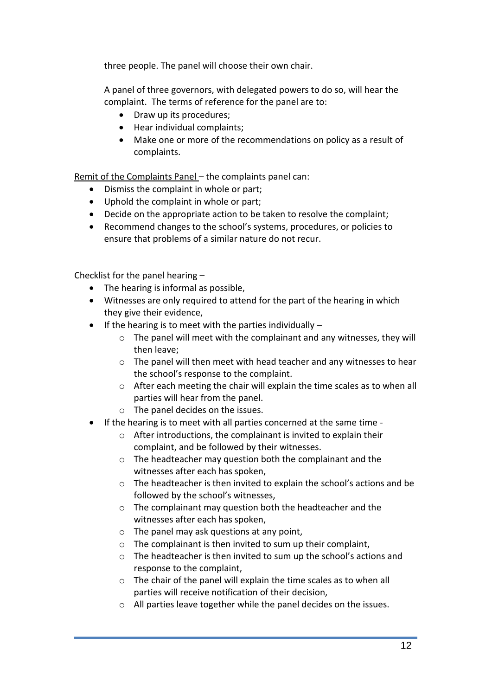three people. The panel will choose their own chair.

A panel of three governors, with delegated powers to do so, will hear the complaint. The terms of reference for the panel are to:

- Draw up its procedures;
- Hear individual complaints;
- Make one or more of the recommendations on policy as a result of complaints.

Remit of the Complaints Panel – the complaints panel can:

- Dismiss the complaint in whole or part;
- Uphold the complaint in whole or part;
- Decide on the appropriate action to be taken to resolve the complaint;
- Recommend changes to the school's systems, procedures, or policies to ensure that problems of a similar nature do not recur.

Checklist for the panel hearing –

- The hearing is informal as possible,
- Witnesses are only required to attend for the part of the hearing in which they give their evidence,
- $\bullet$  If the hearing is to meet with the parties individually  $$ 
	- o The panel will meet with the complainant and any witnesses, they will then leave;
	- $\circ$  The panel will then meet with head teacher and any witnesses to hear the school's response to the complaint.
	- o After each meeting the chair will explain the time scales as to when all parties will hear from the panel.
	- o The panel decides on the issues.
- If the hearing is to meet with all parties concerned at the same time
	- o After introductions, the complainant is invited to explain their complaint, and be followed by their witnesses.
	- o The headteacher may question both the complainant and the witnesses after each has spoken,
	- o The headteacher is then invited to explain the school's actions and be followed by the school's witnesses,
	- o The complainant may question both the headteacher and the witnesses after each has spoken,
	- o The panel may ask questions at any point,
	- o The complainant is then invited to sum up their complaint,
	- o The headteacher is then invited to sum up the school's actions and response to the complaint,
	- o The chair of the panel will explain the time scales as to when all parties will receive notification of their decision,
	- o All parties leave together while the panel decides on the issues.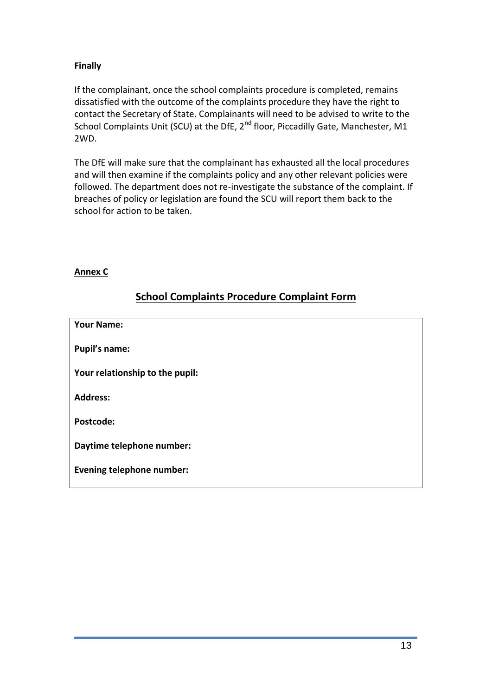# **Finally**

If the complainant, once the school complaints procedure is completed, remains dissatisfied with the outcome of the complaints procedure they have the right to contact the Secretary of State. Complainants will need to be advised to write to the School Complaints Unit (SCU) at the DfE, 2<sup>nd</sup> floor, Piccadilly Gate, Manchester, M1 2WD.

The DfE will make sure that the complainant has exhausted all the local procedures and will then examine if the complaints policy and any other relevant policies were followed. The department does not re-investigate the substance of the complaint. If breaches of policy or legislation are found the SCU will report them back to the school for action to be taken.

## **Annex C**

# **School Complaints Procedure Complaint Form**

| <b>Your Name:</b>                |  |
|----------------------------------|--|
| <b>Pupil's name:</b>             |  |
| Your relationship to the pupil:  |  |
| <b>Address:</b>                  |  |
| Postcode:                        |  |
| Daytime telephone number:        |  |
| <b>Evening telephone number:</b> |  |
|                                  |  |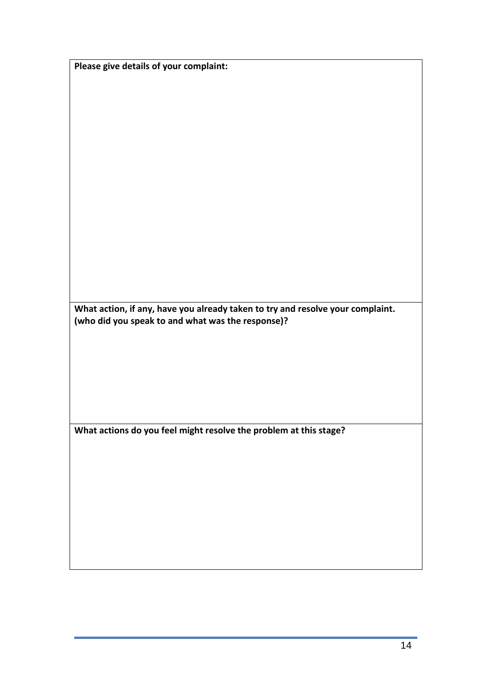|  |  |  | Please give details of your complaint: |
|--|--|--|----------------------------------------|
|--|--|--|----------------------------------------|

**What action, if any, have you already taken to try and resolve your complaint. (who did you speak to and what was the response)?**

**What actions do you feel might resolve the problem at this stage?**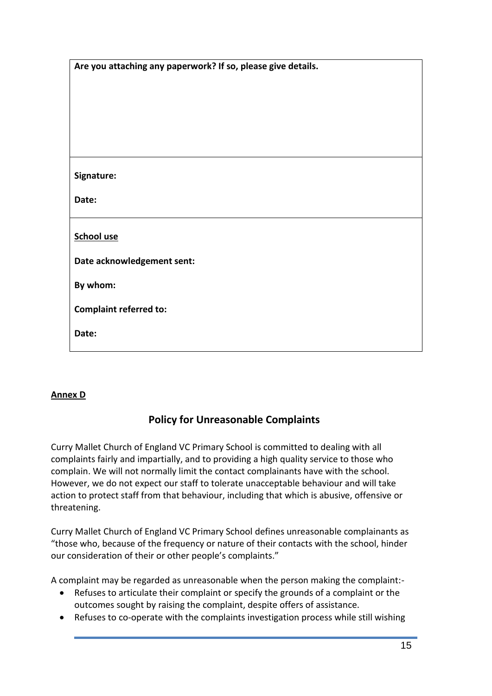| Are you attaching any paperwork? If so, please give details. |  |
|--------------------------------------------------------------|--|
|                                                              |  |
|                                                              |  |
|                                                              |  |
|                                                              |  |
|                                                              |  |
|                                                              |  |
|                                                              |  |
| Signature:                                                   |  |
| Date:                                                        |  |
|                                                              |  |
|                                                              |  |
| <b>School use</b>                                            |  |
|                                                              |  |
| Date acknowledgement sent:                                   |  |
| By whom:                                                     |  |
|                                                              |  |
| <b>Complaint referred to:</b>                                |  |
|                                                              |  |
| Date:                                                        |  |
|                                                              |  |

# **Annex D**

# **Policy for Unreasonable Complaints**

Curry Mallet Church of England VC Primary School is committed to dealing with all complaints fairly and impartially, and to providing a high quality service to those who complain. We will not normally limit the contact complainants have with the school. However, we do not expect our staff to tolerate unacceptable behaviour and will take action to protect staff from that behaviour, including that which is abusive, offensive or threatening.

Curry Mallet Church of England VC Primary School defines unreasonable complainants as "those who, because of the frequency or nature of their contacts with the school, hinder our consideration of their or other people's complaints."

A complaint may be regarded as unreasonable when the person making the complaint:-

- Refuses to articulate their complaint or specify the grounds of a complaint or the outcomes sought by raising the complaint, despite offers of assistance.
- Refuses to co-operate with the complaints investigation process while still wishing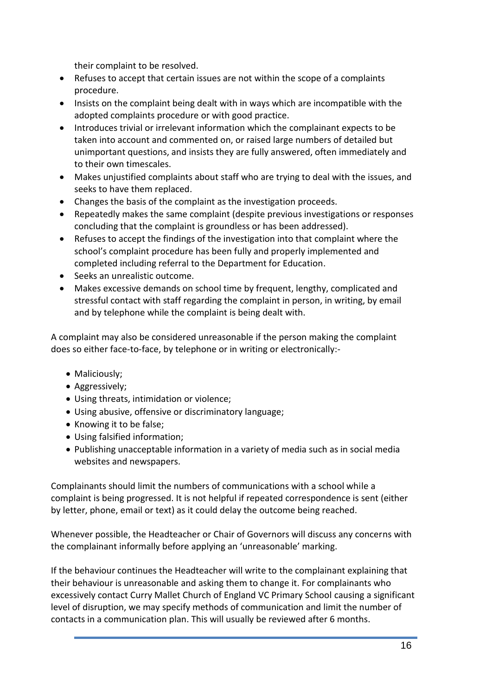their complaint to be resolved.

- Refuses to accept that certain issues are not within the scope of a complaints procedure.
- Insists on the complaint being dealt with in ways which are incompatible with the adopted complaints procedure or with good practice.
- Introduces trivial or irrelevant information which the complainant expects to be taken into account and commented on, or raised large numbers of detailed but unimportant questions, and insists they are fully answered, often immediately and to their own timescales.
- Makes unjustified complaints about staff who are trying to deal with the issues, and seeks to have them replaced.
- Changes the basis of the complaint as the investigation proceeds.
- Repeatedly makes the same complaint (despite previous investigations or responses concluding that the complaint is groundless or has been addressed).
- Refuses to accept the findings of the investigation into that complaint where the school's complaint procedure has been fully and properly implemented and completed including referral to the Department for Education.
- Seeks an unrealistic outcome.
- Makes excessive demands on school time by frequent, lengthy, complicated and stressful contact with staff regarding the complaint in person, in writing, by email and by telephone while the complaint is being dealt with.

A complaint may also be considered unreasonable if the person making the complaint does so either face-to-face, by telephone or in writing or electronically:-

- Maliciously;
- Aggressively;
- Using threats, intimidation or violence;
- Using abusive, offensive or discriminatory language;
- Knowing it to be false;
- Using falsified information;
- Publishing unacceptable information in a variety of media such as in social media websites and newspapers.

Complainants should limit the numbers of communications with a school while a complaint is being progressed. It is not helpful if repeated correspondence is sent (either by letter, phone, email or text) as it could delay the outcome being reached.

Whenever possible, the Headteacher or Chair of Governors will discuss any concerns with the complainant informally before applying an 'unreasonable' marking.

If the behaviour continues the Headteacher will write to the complainant explaining that their behaviour is unreasonable and asking them to change it. For complainants who excessively contact Curry Mallet Church of England VC Primary School causing a significant level of disruption, we may specify methods of communication and limit the number of contacts in a communication plan. This will usually be reviewed after 6 months.